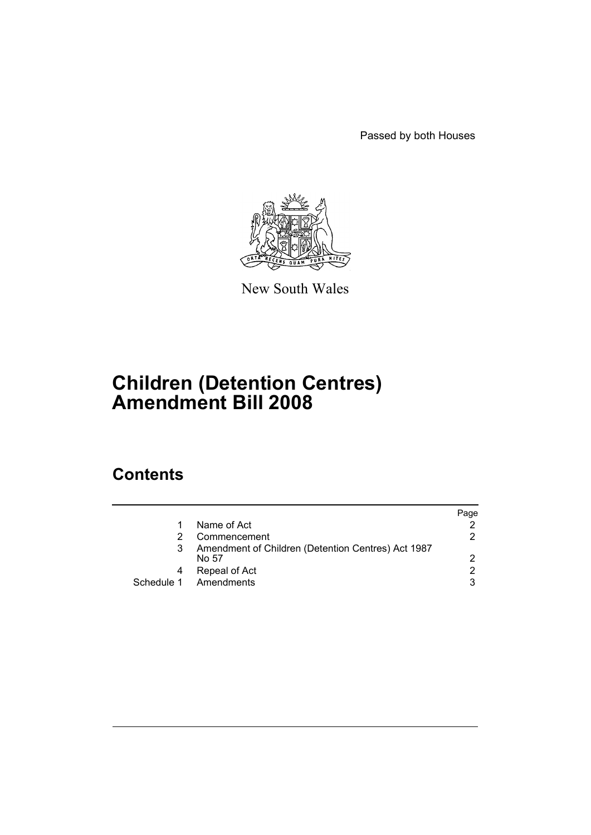Passed by both Houses



New South Wales

# **Children (Detention Centres) Amendment Bill 2008**

# **Contents**

|                                                             | Paqe |
|-------------------------------------------------------------|------|
| Name of Act                                                 |      |
| Commencement                                                | 2    |
| Amendment of Children (Detention Centres) Act 1987<br>No 57 | 2    |
| Repeal of Act                                               | 2    |
| Schedule 1 Amendments                                       | 3    |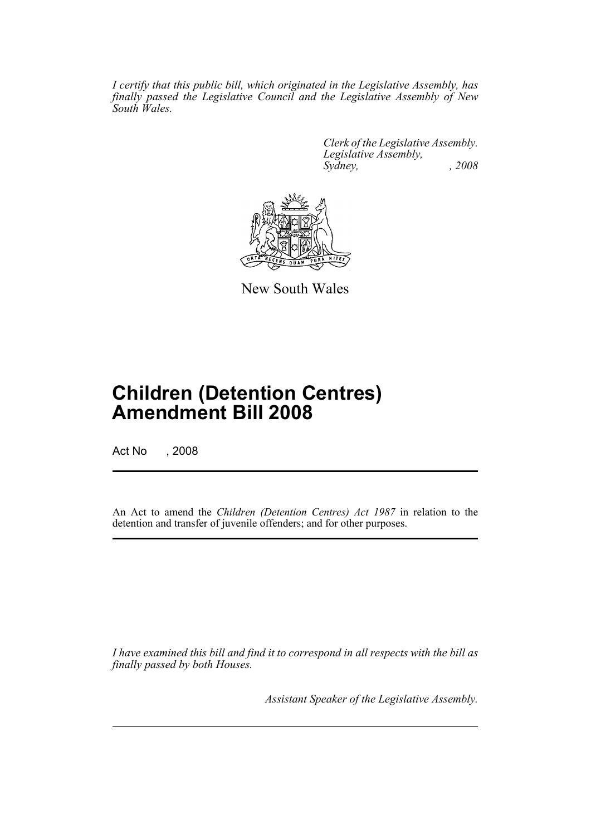*I certify that this public bill, which originated in the Legislative Assembly, has finally passed the Legislative Council and the Legislative Assembly of New South Wales.*

> *Clerk of the Legislative Assembly. Legislative Assembly, Sydney, , 2008*



New South Wales

# **Children (Detention Centres) Amendment Bill 2008**

Act No , 2008

An Act to amend the *Children (Detention Centres) Act 1987* in relation to the detention and transfer of juvenile offenders; and for other purposes.

*I have examined this bill and find it to correspond in all respects with the bill as finally passed by both Houses.*

*Assistant Speaker of the Legislative Assembly.*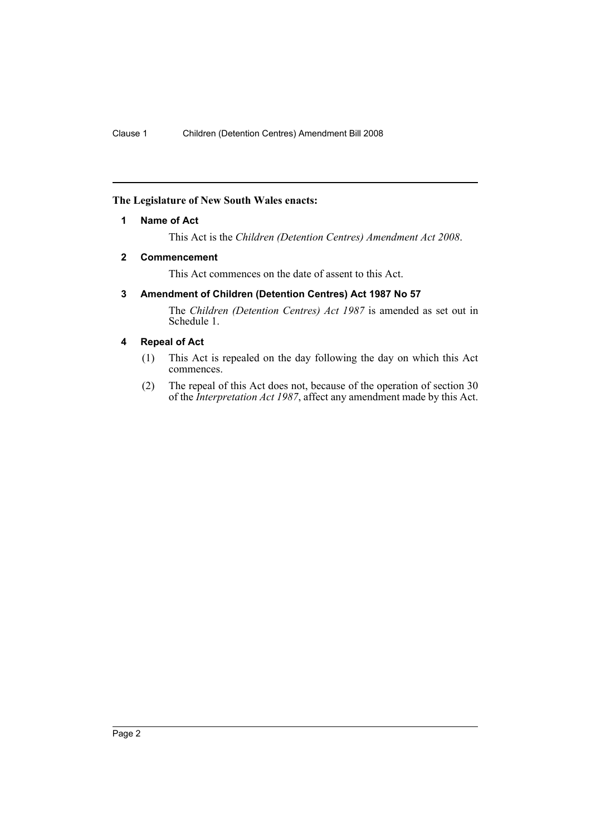# <span id="page-2-0"></span>**The Legislature of New South Wales enacts:**

# **1 Name of Act**

This Act is the *Children (Detention Centres) Amendment Act 2008*.

### <span id="page-2-1"></span>**2 Commencement**

This Act commences on the date of assent to this Act.

# <span id="page-2-2"></span>**3 Amendment of Children (Detention Centres) Act 1987 No 57**

The *Children (Detention Centres) Act 1987* is amended as set out in Schedule 1.

# <span id="page-2-3"></span>**4 Repeal of Act**

- (1) This Act is repealed on the day following the day on which this Act commences.
- (2) The repeal of this Act does not, because of the operation of section 30 of the *Interpretation Act 1987*, affect any amendment made by this Act.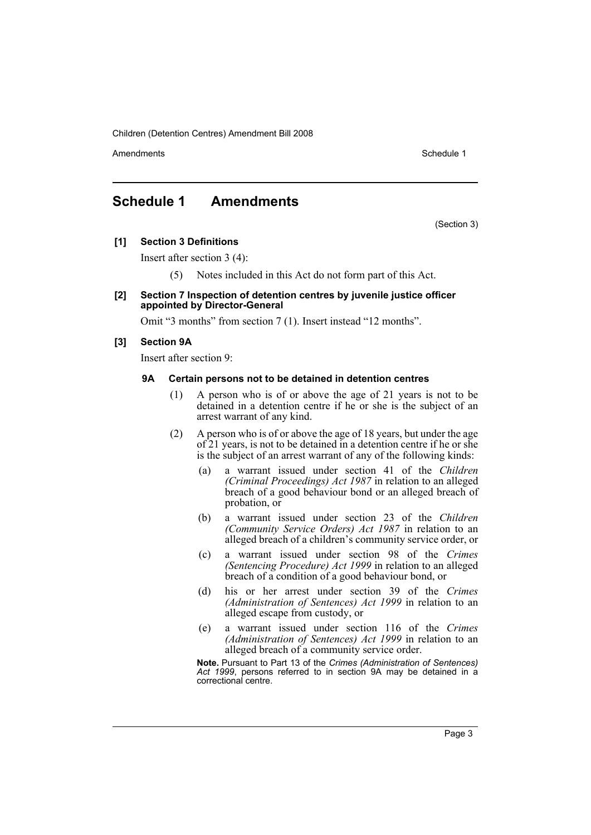Amendments **Amendments** Schedule 1

# <span id="page-3-0"></span>**Schedule 1 Amendments**

(Section 3)

**[1] Section 3 Definitions**

Insert after section 3 (4):

- (5) Notes included in this Act do not form part of this Act.
- **[2] Section 7 Inspection of detention centres by juvenile justice officer appointed by Director-General**

Omit "3 months" from section 7 (1). Insert instead "12 months".

### **[3] Section 9A**

Insert after section 9:

#### **9A Certain persons not to be detained in detention centres**

- (1) A person who is of or above the age of 21 years is not to be detained in a detention centre if he or she is the subject of an arrest warrant of any kind.
- (2) A person who is of or above the age of 18 years, but under the age of 21 years, is not to be detained in a detention centre if he or she is the subject of an arrest warrant of any of the following kinds:
	- (a) a warrant issued under section 41 of the *Children (Criminal Proceedings) Act 1987* in relation to an alleged breach of a good behaviour bond or an alleged breach of probation, or
	- (b) a warrant issued under section 23 of the *Children (Community Service Orders) Act 1987* in relation to an alleged breach of a children's community service order, or
	- (c) a warrant issued under section 98 of the *Crimes (Sentencing Procedure) Act 1999* in relation to an alleged breach of a condition of a good behaviour bond, or
	- (d) his or her arrest under section 39 of the *Crimes (Administration of Sentences) Act 1999* in relation to an alleged escape from custody, or
	- (e) a warrant issued under section 116 of the *Crimes (Administration of Sentences) Act 1999* in relation to an alleged breach of a community service order.

**Note.** Pursuant to Part 13 of the *Crimes (Administration of Sentences) Act 1999*, persons referred to in section 9A may be detained in a correctional centre.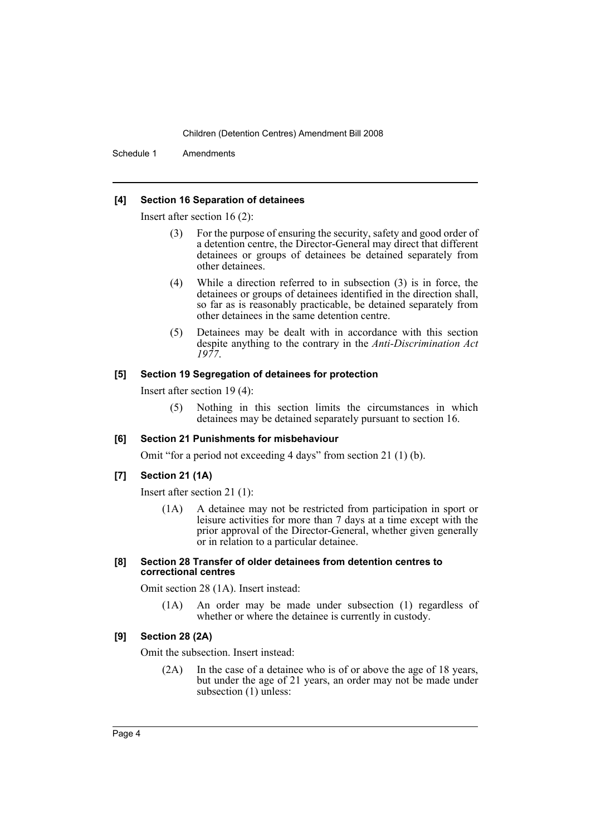Schedule 1 Amendments

#### **[4] Section 16 Separation of detainees**

Insert after section 16 (2):

- (3) For the purpose of ensuring the security, safety and good order of a detention centre, the Director-General may direct that different detainees or groups of detainees be detained separately from other detainees.
- (4) While a direction referred to in subsection (3) is in force, the detainees or groups of detainees identified in the direction shall, so far as is reasonably practicable, be detained separately from other detainees in the same detention centre.
- (5) Detainees may be dealt with in accordance with this section despite anything to the contrary in the *Anti-Discrimination Act 1977*.

# **[5] Section 19 Segregation of detainees for protection**

Insert after section 19 (4):

(5) Nothing in this section limits the circumstances in which detainees may be detained separately pursuant to section 16.

#### **[6] Section 21 Punishments for misbehaviour**

Omit "for a period not exceeding 4 days" from section 21 (1) (b).

#### **[7] Section 21 (1A)**

Insert after section 21 (1):

(1A) A detainee may not be restricted from participation in sport or leisure activities for more than 7 days at a time except with the prior approval of the Director-General, whether given generally or in relation to a particular detainee.

### **[8] Section 28 Transfer of older detainees from detention centres to correctional centres**

Omit section 28 (1A). Insert instead:

(1A) An order may be made under subsection (1) regardless of whether or where the detainee is currently in custody.

#### **[9] Section 28 (2A)**

Omit the subsection. Insert instead:

(2A) In the case of a detainee who is of or above the age of 18 years, but under the age of 21 years, an order may not be made under subsection  $(1)$  unless: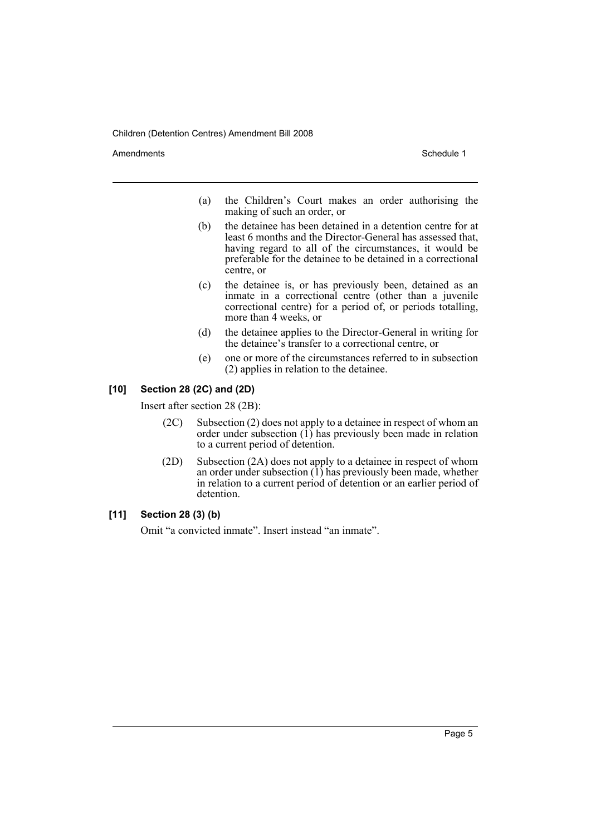Amendments **Schedule 1** and the set of the set of the set of the set of the set of the set of the set of the set of the set of the set of the set of the set of the set of the set of the set of the set of the set of the set

- (a) the Children's Court makes an order authorising the making of such an order, or
- (b) the detainee has been detained in a detention centre for at least 6 months and the Director-General has assessed that, having regard to all of the circumstances, it would be preferable for the detainee to be detained in a correctional centre, or
- (c) the detainee is, or has previously been, detained as an inmate in a correctional centre (other than a juvenile correctional centre) for a period of, or periods totalling, more than 4 weeks, or
- (d) the detainee applies to the Director-General in writing for the detainee's transfer to a correctional centre, or
- (e) one or more of the circumstances referred to in subsection (2) applies in relation to the detainee.

#### **[10] Section 28 (2C) and (2D)**

Insert after section 28 (2B):

- (2C) Subsection (2) does not apply to a detainee in respect of whom an order under subsection  $(1)$  has previously been made in relation to a current period of detention.
- (2D) Subsection (2A) does not apply to a detainee in respect of whom an order under subsection  $(1)$  has previously been made, whether in relation to a current period of detention or an earlier period of detention.

# **[11] Section 28 (3) (b)**

Omit "a convicted inmate". Insert instead "an inmate".